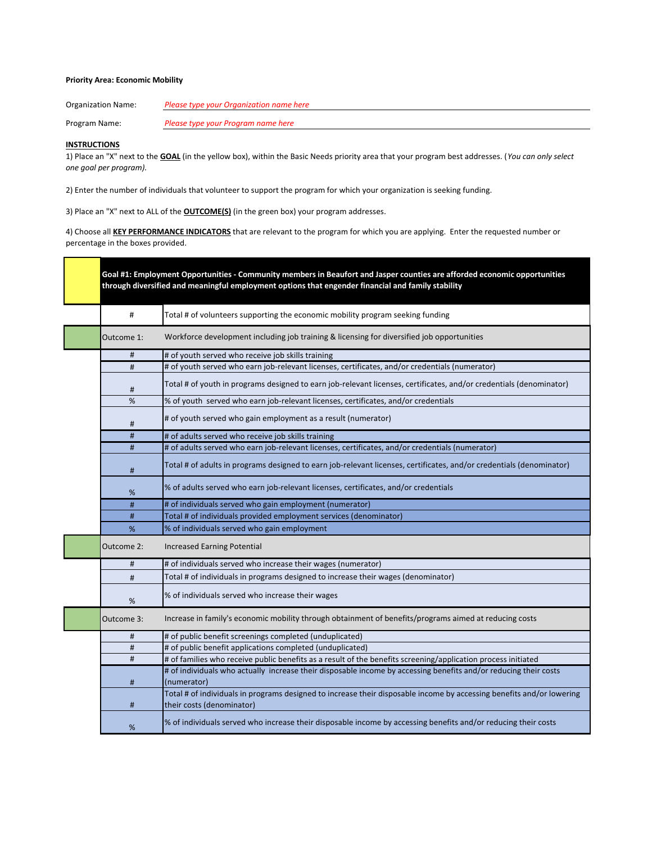## **Priority Area: Economic Mobility**

Organization Name: *Please type your Organization name here*

Program Name: *Please type your Program name here*

## **INSTRUCTIONS**

г

1) Place an "X" next to the **GOAL** (in the yellow box), within the Basic Needs priority area that your program best addresses. (*You can only select one goal per program).*

2) Enter the number of individuals that volunteer to support the program for which your organization is seeking funding.

3) Place an "X" next to ALL of the **OUTCOME(S)** (in the green box) your program addresses.

4) Choose all **KEY PERFORMANCE INDICATORS** that are relevant to the program for which you are applying. Enter the requested number or percentage in the boxes provided.

|                | Goal #1: Employment Opportunities - Community members in Beaufort and Jasper counties are afforded economic opportunities<br>through diversified and meaningful employment options that engender financial and family stability |
|----------------|---------------------------------------------------------------------------------------------------------------------------------------------------------------------------------------------------------------------------------|
| #              | Total # of volunteers supporting the economic mobility program seeking funding                                                                                                                                                  |
| Outcome 1:     | Workforce development including job training & licensing for diversified job opportunities                                                                                                                                      |
| $\#$           | # of youth served who receive job skills training                                                                                                                                                                               |
| #              | # of youth served who earn job-relevant licenses, certificates, and/or credentials (numerator)                                                                                                                                  |
| #              | Total # of youth in programs designed to earn job-relevant licenses, certificates, and/or credentials (denominator)                                                                                                             |
| %              | % of youth served who earn job-relevant licenses, certificates, and/or credentials                                                                                                                                              |
| #              | # of youth served who gain employment as a result (numerator)                                                                                                                                                                   |
| $\sharp$       | # of adults served who receive job skills training                                                                                                                                                                              |
| $\sharp\sharp$ | # of adults served who earn job-relevant licenses, certificates, and/or credentials (numerator)                                                                                                                                 |
| #              | Total # of adults in programs designed to earn job-relevant licenses, certificates, and/or credentials (denominator)                                                                                                            |
| %              | % of adults served who earn job-relevant licenses, certificates, and/or credentials                                                                                                                                             |
| #              | # of individuals served who gain employment (numerator)                                                                                                                                                                         |
| $\#$           | Total # of individuals provided employment services (denominator)                                                                                                                                                               |
| %              | % of individuals served who gain employment                                                                                                                                                                                     |
| Outcome 2:     | <b>Increased Earning Potential</b>                                                                                                                                                                                              |
| #              | # of individuals served who increase their wages (numerator)                                                                                                                                                                    |
| #              | Total # of individuals in programs designed to increase their wages (denominator)                                                                                                                                               |
| %              | % of individuals served who increase their wages                                                                                                                                                                                |
| Outcome 3:     | Increase in family's economic mobility through obtainment of benefits/programs aimed at reducing costs                                                                                                                          |
| #              | # of public benefit screenings completed (unduplicated)                                                                                                                                                                         |
| #              | # of public benefit applications completed (unduplicated)                                                                                                                                                                       |
| #              | # of families who receive public benefits as a result of the benefits screening/application process initiated                                                                                                                   |
| #              | # of individuals who actually increase their disposable income by accessing benefits and/or reducing their costs<br>(numerator)                                                                                                 |
| #              | Total # of individuals in programs designed to increase their disposable income by accessing benefits and/or lowering<br>their costs (denominator)                                                                              |
| %              | % of individuals served who increase their disposable income by accessing benefits and/or reducing their costs                                                                                                                  |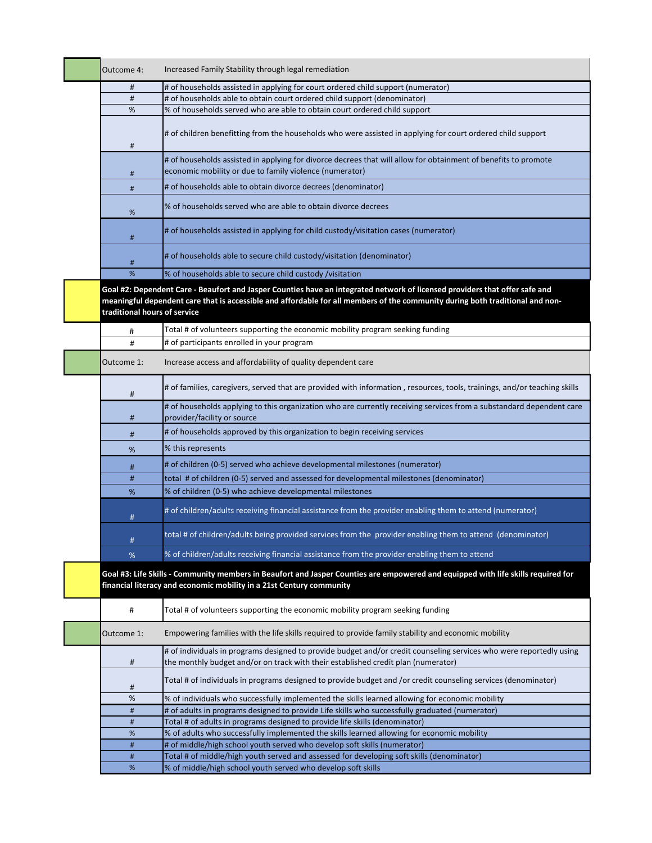| Outcome 4:                   | Increased Family Stability through legal remediation                                                                                                                                                                                                         |
|------------------------------|--------------------------------------------------------------------------------------------------------------------------------------------------------------------------------------------------------------------------------------------------------------|
| #                            | # of households assisted in applying for court ordered child support (numerator)                                                                                                                                                                             |
| #                            | # of households able to obtain court ordered child support (denominator)                                                                                                                                                                                     |
| %                            | % of households served who are able to obtain court ordered child support                                                                                                                                                                                    |
| #                            | # of children benefitting from the households who were assisted in applying for court ordered child support                                                                                                                                                  |
| #                            | # of households assisted in applying for divorce decrees that will allow for obtainment of benefits to promote<br>economic mobility or due to family violence (numerator)                                                                                    |
| #                            | # of households able to obtain divorce decrees (denominator)                                                                                                                                                                                                 |
| %                            | % of households served who are able to obtain divorce decrees                                                                                                                                                                                                |
| #                            | # of households assisted in applying for child custody/visitation cases (numerator)                                                                                                                                                                          |
| #                            | # of households able to secure child custody/visitation (denominator)                                                                                                                                                                                        |
| %                            | % of households able to secure child custody /visitation                                                                                                                                                                                                     |
| traditional hours of service | Goal #2: Dependent Care - Beaufort and Jasper Counties have an integrated network of licensed providers that offer safe and<br>meaningful dependent care that is accessible and affordable for all members of the community during both traditional and non- |
| #                            | Total # of volunteers supporting the economic mobility program seeking funding                                                                                                                                                                               |
| #                            | # of participants enrolled in your program                                                                                                                                                                                                                   |
| Outcome 1:                   | Increase access and affordability of quality dependent care                                                                                                                                                                                                  |
| #                            | # of families, caregivers, served that are provided with information, resources, tools, trainings, and/or teaching skills                                                                                                                                    |
| #                            | # of households applying to this organization who are currently receiving services from a substandard dependent care<br>provider/facility or source                                                                                                          |
| #                            | # of households approved by this organization to begin receiving services                                                                                                                                                                                    |
| %                            | % this represents                                                                                                                                                                                                                                            |
| #                            | # of children (0-5) served who achieve developmental milestones (numerator)                                                                                                                                                                                  |
| #                            | total # of children (0-5) served and assessed for developmental milestones (denominator)                                                                                                                                                                     |
| %                            | % of children (0-5) who achieve developmental milestones                                                                                                                                                                                                     |
| #                            | # of children/adults receiving financial assistance from the provider enabling them to attend (numerator)                                                                                                                                                    |
| #                            | total # of children/adults being provided services from the provider enabling them to attend (denominator)                                                                                                                                                   |
| %                            | % of children/adults receiving financial assistance from the provider enabling them to attend                                                                                                                                                                |
|                              | Goal #3: Life Skills - Community members in Beaufort and Jasper Counties are empowered and equipped with life skills required for<br>financial literacy and economic mobility in a 21st Century community                                                    |
| $\#$                         | Total # of volunteers supporting the economic mobility program seeking funding                                                                                                                                                                               |
| Outcome 1:                   | Empowering families with the life skills required to provide family stability and economic mobility                                                                                                                                                          |
| #                            | # of individuals in programs designed to provide budget and/or credit counseling services who were reportedly using<br>the monthly budget and/or on track with their established credit plan (numerator)                                                     |
| #                            | Total # of individuals in programs designed to provide budget and /or credit counseling services (denominator)                                                                                                                                               |
| $\%$                         | % of individuals who successfully implemented the skills learned allowing for economic mobility                                                                                                                                                              |
| #                            | # of adults in programs designed to provide Life skills who successfully graduated (numerator)                                                                                                                                                               |
| #<br>%                       | Total # of adults in programs designed to provide life skills (denominator)<br>% of adults who successfully implemented the skills learned allowing for economic mobility                                                                                    |
| #                            | # of middle/high school youth served who develop soft skills (numerator)                                                                                                                                                                                     |
| #                            | Total # of middle/high youth served and assessed for developing soft skills (denominator)                                                                                                                                                                    |
| $\%$                         | % of middle/high school youth served who develop soft skills                                                                                                                                                                                                 |